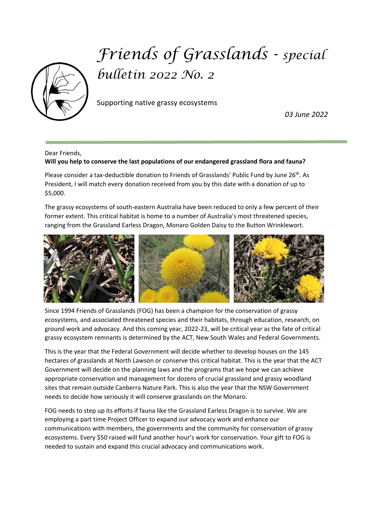

## *Friends of Grasslands - special bulletin 2022 No. 2*

Supporting native grassy ecosystems

 *03 June 2022*

## Dear Friends, **Will you help to conserve the last populations of our endangered grassland flora and fauna?**

Please consider a tax-deductible donation to Friends of Grasslands' Public Fund by June 26<sup>th</sup>. As President, I will match every donation received from you by this date with a donation of up to \$5,000.

The grassy ecosystems of south-eastern Australia have been reduced to only a few percent of their former extent. This critical habitat is home to a number of Australia's most threatened species, ranging from the Grassland Earless Dragon, Monaro Golden Daisy to the Button Wrinklewort.



Since 1994 Friends of Grasslands (FOG) has been a champion for the conservation of grassy ecosystems, and associated threatened species and their habitats, through education, research, on ground work and advocacy. And this coming year, 2022-23, will be critical year as the fate of critical grassy ecosystem remnants is determined by the ACT, New South Wales and Federal Governments.

This is the year that the Federal Government will decide whether to develop houses on the 145 hectares of grasslands at North Lawson or conserve this critical habitat. This is the year that the ACT Government will decide on the planning laws and the programs that we hope we can achieve appropriate conservation and management for dozens of crucial grassland and grassy woodland sites that remain outside Canberra Nature Park. This is also the year that the NSW Government needs to decide how seriously it will conserve grasslands on the Monaro.

FOG needs to step up its efforts if fauna like the Grassland Earless Dragon is to survive. We are employing a part time Project Officer to expand our advocacy work and enhance our communications with members, the governments and the community for conservation of grassy ecosystems. Every \$50 raised will fund another hour's work for conservation. Your gift to FOG is needed to sustain and expand this crucial advocacy and communications work.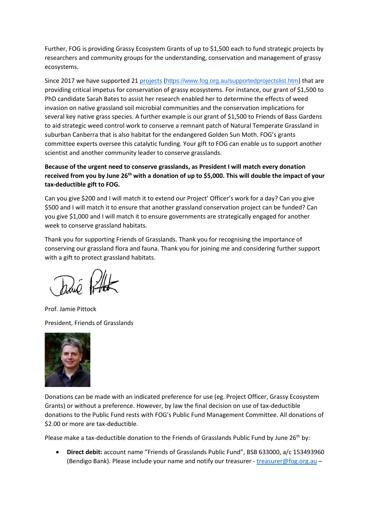Further, FOG is providing Grassy Ecosystem Grants of up to \$1,500 each to fund strategic projects by researchers and community groups for the understanding, conservation and management of grassy ecosystems.

Since 2017 we have supported 21 [projects](https://www.fog.org.au/supportedprojectslist.htm) (<https://www.fog.org.au/supportedprojectslist.htm>) that are providing critical impetus for conservation of grassy ecosystems. For instance, our grant of \$1,500 to PhD candidate Sarah Bates to assist her research enabled her to determine the effects of weed invasion on native grassland soil microbial communities and the conservation implications for several key native grass species. A further example is our grant of \$1,500 to Friends of Bass Gardens to aid strategic weed control work to conserve a remnant patch of Natural Temperate Grassland in suburban Canberra that is also habitat for the endangered Golden Sun Moth. FOG's grants committee experts oversee this catalytic funding. Your gift to FOG can enable us to support another scientist and another community leader to conserve grasslands.

**Because of the urgent need to conserve grasslands, as President I will match every donation received from you by June 26th with a donation of up to \$5,000. This will double the impact of your tax-deductible gift to FOG.** 

Can you give \$200 and I will match it to extend our Project' Officer's work for a day? Can you give \$500 and I will match it to ensure that another grassland conservation project can be funded? Can you give \$1,000 and I will match it to ensure governments are strategically engaged for another week to conserve grassland habitats.

Thank you for supporting Friends of Grasslands. Thank you for recognising the importance of conserving our grassland flora and fauna. Thank you for joining me and considering further support with a gift to protect grassland habitats.

Prof. Jamie Pittock President, Friends of Grasslands



Donations can be made with an indicated preference for use (eg. Project Officer, Grassy Ecosystem Grants) or without a preference. However, by law the final decision on use of tax-deductible donations to the Public Fund rests with FOG's Public Fund Management Committee. All donations of \$2.00 or more are tax-deductible.

Please make a tax-deductible donation to the Friends of Grasslands Public Fund by June 26<sup>th</sup> by:

• **Direct debit:** account name "Friends of Grasslands Public Fund", BSB 633000, a/c 153493960 (Bendigo Bank). Please include your name and notify our treasurer - treasurer@fog.org.au –